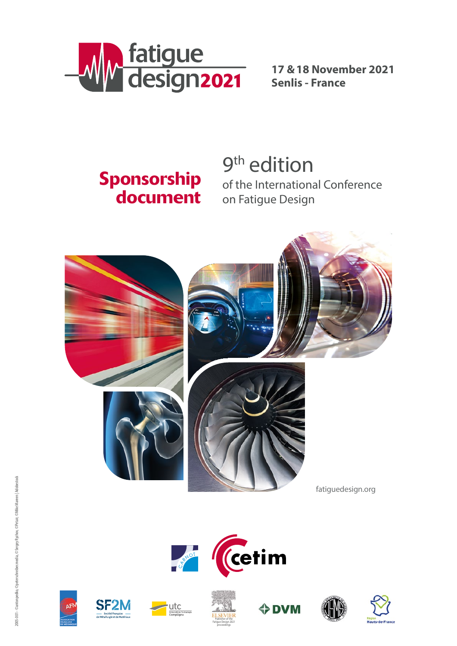

**17 &18 November 2021 Senlis - France**

# Sponsorship document

9<sup>th</sup> edition of the International Conference on Fatigue Design















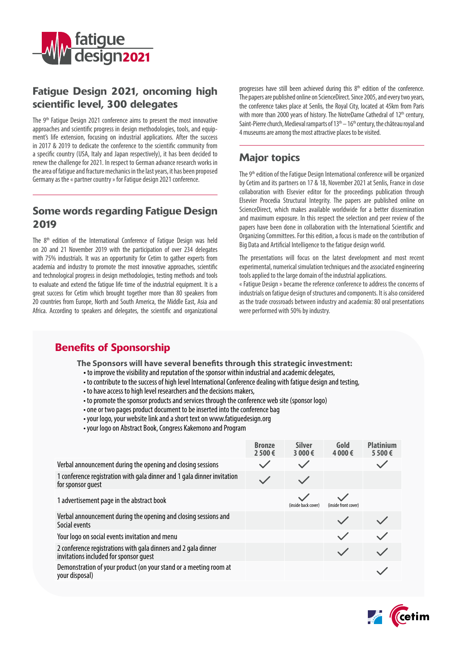

### Fatigue Design 2021, oncoming high scientific level, 300 delegates

The 9th Fatigue Design 2021 conference aims to present the most innovative approaches and scientific progress in design methodologies, tools, and equipment's life extension, focusing on industrial applications. After the success in 2017 & 2019 to dedicate the conference to the scientific community from a specific country (USA, Italy and Japan respectively), it has been decided to renew the challenge for 2021. In respect to German advance research works in the area of fatigue and fracture mechanics in the last years, it has been proposed Germany as the « partner country » for Fatigue design 2021 conference.

### Some words regarding Fatigue Design 2019

The 8<sup>th</sup> edition of the International Conference of Fatigue Design was held on 20 and 21 November 2019 with the participation of over 234 delegates with 75% industrials. It was an opportunity for Cetim to gather experts from academia and industry to promote the most innovative approaches, scientific and technological progress in design methodologies, testing methods and tools to evaluate and extend the fatigue life time of the industrial equipment. It is a great success for Cetim which brought together more than 80 speakers from 20 countries from Europe, North and South America, the Middle East, Asia and Africa. According to speakers and delegates, the scientific and organizational

progresses have still been achieved during this 8<sup>th</sup> edition of the conference. The papers are published online on ScienceDirect. Since 2005, and every two years, the conference takes place at Senlis, the Royal City, located at 45km from Paris with more than 2000 years of history. The NotreDame Cathedral of 12<sup>th</sup> century, Saint-Pierre church, Medieval ramparts of  $13<sup>th</sup> - 16<sup>th</sup>$  century, the château royal and 4 museums are among the most attractive places to be visited.

# Major topics

The 9<sup>th</sup> edition of the Fatigue Design International conference will be organized by Cetim and its partners on 17 & 18, November 2021 at Senlis, France in close collaboration with Elsevier editor for the proceedings publication through Elsevier Procedia Structural Integrity. The papers are published online on ScienceDirect, which makes available worldwide for a better dissemination and maximum exposure. In this respect the selection and peer review of the papers have been done in collaboration with the International Scientific and Organizing Committees. For this edition, a focus is made on the contribution of Big Data and Artificial Intelligence to the fatigue design world.

The presentations will focus on the latest development and most recent experimental, numerical simulation techniques and the associated engineering tools applied to the large domain of the industrial applications.

« Fatigue Design » became the reference conference to address the concerns of industrials on fatigue design of structures and components. It is also considered as the trade crossroads between industry and academia: 80 oral presentations were performed with 50% by industry.

## Benefits of Sponsorship

**The Sponsors will have several benefits through this strategic investment:** 

- to improve the visibility and reputation of the sponsor within industrial and academic delegates,
- to contribute to the success of high level International Conference dealing with fatigue design and testing,
- to have access to high level researchers and the decisions makers,
- to promote the sponsor products and services through the conference web site (sponsor logo)
- one or two pages product document to be inserted into the conference bag
- your logo, your website link and a short text on www.fatiguedesign.org
- your logo on Abstract Book, Congress Kakemono and Program

|                                                                                                          | <b>Bronze</b><br>2 500€ | <b>Silver</b><br>3 000€ | Gold<br>4 000€       | <b>Platinium</b><br>5500€ |
|----------------------------------------------------------------------------------------------------------|-------------------------|-------------------------|----------------------|---------------------------|
| Verbal announcement during the opening and closing sessions                                              |                         |                         |                      |                           |
| 1 conference registration with gala dinner and 1 gala dinner invitation<br>for sponsor quest             |                         |                         |                      |                           |
| 1 advertisement page in the abstract book                                                                |                         | (inside back cover)     | (inside front cover) |                           |
| Verbal announcement during the opening and closing sessions and<br>Social events                         |                         |                         |                      |                           |
| Your logo on social events invitation and menu                                                           |                         |                         |                      |                           |
| 2 conference registrations with gala dinners and 2 gala dinner<br>invitations included for sponsor quest |                         |                         |                      |                           |
| Demonstration of your product (on your stand or a meeting room at<br>your disposal)                      |                         |                         |                      |                           |